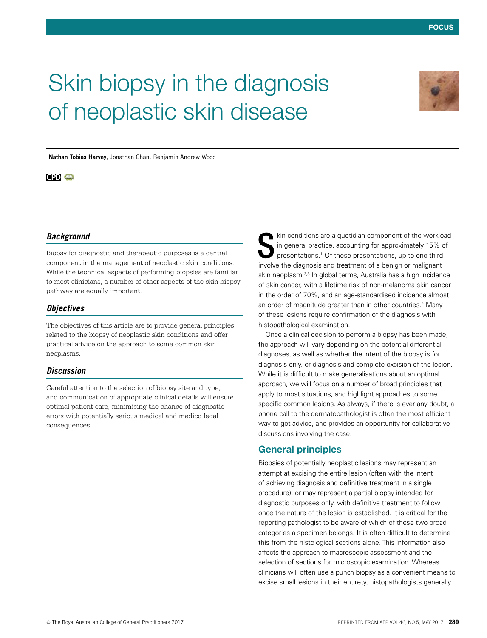# Skin biopsy in the diagnosis of neoplastic skin disease



**Nathan Tobias Harvey**, Jonathan Chan, Benjamin Andrew Wood

## **CPD @**

#### *Background*

Biopsy for diagnostic and therapeutic purposes is a central component in the management of neoplastic skin conditions. While the technical aspects of performing biopsies are familiar to most clinicians, a number of other aspects of the skin biopsy pathway are equally important.

#### *Objectives*

The objectives of this article are to provide general principles related to the biopsy of neoplastic skin conditions and offer practical advice on the approach to some common skin neoplasms.

#### *Discussion*

Careful attention to the selection of biopsy site and type, and communication of appropriate clinical details will ensure optimal patient care, minimising the chance of diagnostic errors with potentially serious medical and medico-legal consequences.

kin conditions are a quotidian component of the workload in general practice, accounting for approximately 15% of presentations.<sup>1</sup> Of these presentations, up to one-third kin conditions are a quotidian component of the worklow in general practice, accounting for approximately 15% of presentations.<sup>1</sup> Of these presentations, up to one-third involve the diagnosis and treatment of a benign or skin neoplasm.<sup>2,3</sup> In global terms, Australia has a high incidence of skin cancer, with a lifetime risk of non-melanoma skin cancer in the order of 70%, and an age-standardised incidence almost an order of magnitude greater than in other countries.<sup>4</sup> Many of these lesions require confirmation of the diagnosis with histopathological examination.

Once a clinical decision to perform a biopsy has been made, the approach will vary depending on the potential differential diagnoses, as well as whether the intent of the biopsy is for diagnosis only, or diagnosis and complete excision of the lesion. While it is difficult to make generalisations about an optimal approach, we will focus on a number of broad principles that apply to most situations, and highlight approaches to some specific common lesions. As always, if there is ever any doubt, a phone call to the dermatopathologist is often the most efficient way to get advice, and provides an opportunity for collaborative discussions involving the case.

#### General principles

Biopsies of potentially neoplastic lesions may represent an attempt at excising the entire lesion (often with the intent of achieving diagnosis and definitive treatment in a single procedure), or may represent a partial biopsy intended for diagnostic purposes only, with definitive treatment to follow once the nature of the lesion is established. It is critical for the reporting pathologist to be aware of which of these two broad categories a specimen belongs. It is often difficult to determine this from the histological sections alone. This information also affects the approach to macroscopic assessment and the selection of sections for microscopic examination. Whereas clinicians will often use a punch biopsy as a convenient means to excise small lesions in their entirety, histopathologists generally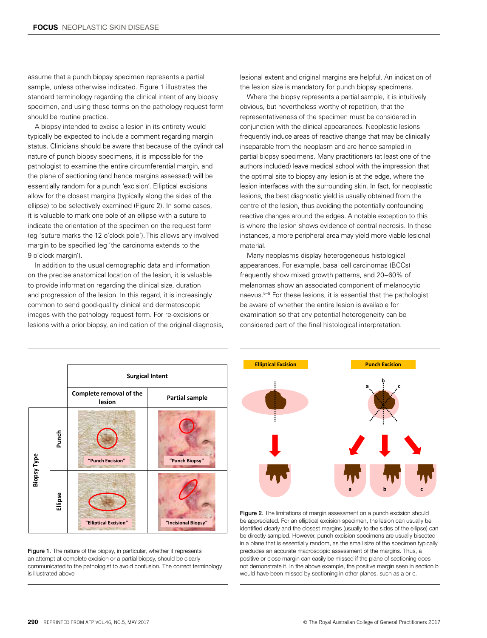assume that a punch biopsy specimen represents a partial sample, unless otherwise indicated. Figure 1 illustrates the standard terminology regarding the clinical intent of any biopsy specimen, and using these terms on the pathology request form should be routine practice.

A biopsy intended to excise a lesion in its entirety would typically be expected to include a comment regarding margin status. Clinicians should be aware that because of the cylindrical nature of punch biopsy specimens, it is impossible for the pathologist to examine the entire circumferential margin, and the plane of sectioning (and hence margins assessed) will be essentially random for a punch 'excision'. Elliptical excisions allow for the closest margins (typically along the sides of the ellipse) to be selectively examined (Figure 2). In some cases, it is valuable to mark one pole of an ellipse with a suture to indicate the orientation of the specimen on the request form (eg 'suture marks the 12 o'clock pole'). This allows any involved margin to be specified (eg 'the carcinoma extends to the 9 o'clock margin').

In addition to the usual demographic data and information on the precise anatomical location of the lesion, it is valuable to provide information regarding the clinical size, duration and progression of the lesion. In this regard, it is increasingly common to send good-quality clinical and dermatoscopic images with the pathology request form. For re-excisions or lesions with a prior biopsy, an indication of the original diagnosis, lesional extent and original margins are helpful. An indication of the lesion size is mandatory for punch biopsy specimens.

Where the biopsy represents a partial sample, it is intuitively obvious, but nevertheless worthy of repetition, that the representativeness of the specimen must be considered in conjunction with the clinical appearances. Neoplastic lesions frequently induce areas of reactive change that may be clinically inseparable from the neoplasm and are hence sampled in partial biopsy specimens. Many practitioners (at least one of the authors included) leave medical school with the impression that the optimal site to biopsy any lesion is at the edge, where the lesion interfaces with the surrounding skin. In fact, for neoplastic lesions, the best diagnostic yield is usually obtained from the centre of the lesion, thus avoiding the potentially confounding reactive changes around the edges. A notable exception to this is where the lesion shows evidence of central necrosis. In these instances, a more peripheral area may yield more viable lesional material.

Many neoplasms display heterogeneous histological appearances. For example, basal cell carcinomas (BCCs) frequently show mixed growth patterns, and 20–60% of melanomas show an associated component of melanocytic naevus.<sup>5-8</sup> For these lesions, it is essential that the pathologist be aware of whether the entire lesion is available for examination so that any potential heterogeneity can be considered part of the final histological interpretation.



Figure 1. The nature of the biopsy, in particular, whether it represents an attempt at complete excision or a partial biopsy, should be clearly communicated to the pathologist to avoid confusion. The correct terminology is illustrated above



Figure 2. The limitations of margin assessment on a punch excision should be appreciated. For an elliptical excision specimen, the lesion can usually be identified clearly and the closest margins (usually to the sides of the ellipse) can be directly sampled. However, punch excision specimens are usually bisected in a plane that is essentially random, as the small size of the specimen typically precludes an accurate macroscopic assessment of the margins. Thus, a positive or close margin can easily be missed if the plane of sectioning does not demonstrate it. In the above example, the positive margin seen in section b would have been missed by sectioning in other planes, such as a or c.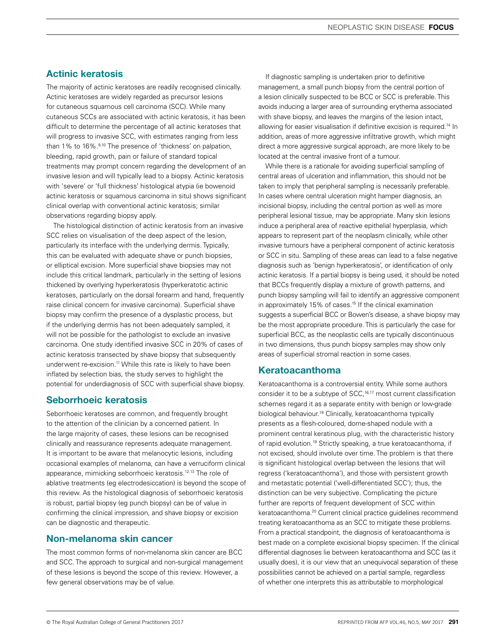## Actinic keratosis

The majority of actinic keratoses are readily recognised clinically. Actinic keratoses are widely regarded as precursor lesions for cutaneous squamous cell carcinoma (SCC). While many cutaneous SCCs are associated with actinic keratosis, it has been difficult to determine the percentage of all actinic keratoses that will progress to invasive SCC, with estimates ranging from less than 1% to 16%.<sup>9,10</sup> The presence of 'thickness' on palpation, bleeding, rapid growth, pain or failure of standard topical treatments may prompt concern regarding the development of an invasive lesion and will typically lead to a biopsy. Actinic keratosis with 'severe' or 'full thickness' histological atypia (ie bowenoid actinic keratosis or squamous carcinoma in situ) shows significant clinical overlap with conventional actinic keratosis; similar observations regarding biopsy apply.

The histological distinction of actinic keratosis from an invasive SCC relies on visualisation of the deep aspect of the lesion, particularly its interface with the underlying dermis. Typically, this can be evaluated with adequate shave or punch biopsies, or elliptical excision. More superficial shave biopsies may not include this critical landmark, particularly in the setting of lesions thickened by overlying hyperkeratosis (hyperkeratotic actinic keratoses, particularly on the dorsal forearm and hand, frequently raise clinical concern for invasive carcinoma). Superficial shave biopsy may confirm the presence of a dysplastic process, but if the underlying dermis has not been adequately sampled, it will not be possible for the pathologist to exclude an invasive carcinoma. One study identified invasive SCC in 20% of cases of actinic keratosis transected by shave biopsy that subsequently underwent re-excision.<sup>11</sup> While this rate is likely to have been inflated by selection bias, the study serves to highlight the potential for underdiagnosis of SCC with superficial shave biopsy.

#### Seborrhoeic keratosis

Seborrhoeic keratoses are common, and frequently brought to the attention of the clinician by a concerned patient. In the large majority of cases, these lesions can be recognised clinically and reassurance represents adequate management. It is important to be aware that melanocytic lesions, including occasional examples of melanoma, can have a verruciform clinical appearance, mimicking seborrhoeic keratosis.12,13 The role of ablative treatments (eg electrodesiccation) is beyond the scope of this review. As the histological diagnosis of seborrhoeic keratosis is robust, partial biopsy (eg punch biopsy) can be of value in confirming the clinical impression, and shave biopsy or excision can be diagnostic and therapeutic.

## Non-melanoma skin cancer

The most common forms of non-melanoma skin cancer are BCC and SCC. The approach to surgical and non-surgical management of these lesions is beyond the scope of this review. However, a few general observations may be of value.

If diagnostic sampling is undertaken prior to definitive management, a small punch biopsy from the central portion of a lesion clinically suspected to be BCC or SCC is preferable. This avoids inducing a larger area of surrounding erythema associated with shave biopsy, and leaves the margins of the lesion intact, allowing for easier visualisation if definitive excision is required.<sup>14</sup> In addition, areas of more aggressive infiltrative growth, which might direct a more aggressive surgical approach, are more likely to be located at the central invasive front of a tumour.

While there is a rationale for avoiding superficial sampling of central areas of ulceration and inflammation, this should not be taken to imply that peripheral sampling is necessarily preferable. In cases where central ulceration might hamper diagnosis, an incisional biopsy, including the central portion as well as more peripheral lesional tissue, may be appropriate. Many skin lesions induce a peripheral area of reactive epithelial hyperplasia, which appears to represent part of the neoplasm clinically, while other invasive tumours have a peripheral component of actinic keratosis or SCC in situ. Sampling of these areas can lead to a false negative diagnosis such as 'benign hyperkeratosis', or identification of only actinic keratosis. If a partial biopsy is being used, it should be noted that BCCs frequently display a mixture of growth patterns, and punch biopsy sampling will fail to identify an aggressive component in approximately 15% of cases.<sup>15</sup> If the clinical examination suggests a superficial BCC or Bowen's disease, a shave biopsy may be the most appropriate procedure. This is particularly the case for superficial BCC, as the neoplastic cells are typically discontinuous in two dimensions, thus punch biopsy samples may show only areas of superficial stromal reaction in some cases.

# Keratoacanthoma

Keratoacanthoma is a controversial entity. While some authors consider it to be a subtype of SCC,<sup>16,17</sup> most current classification schemes regard it as a separate entity with benign or low-grade biological behaviour.<sup>18</sup> Clinically, keratoacanthoma typically presents as a flesh-coloured, dome-shaped nodule with a prominent central keratinous plug, with the characteristic history of rapid evolution.19 Strictly speaking, a true keratoacanthoma, if not excised, should involute over time. The problem is that there is significant histological overlap between the lesions that will regress ('keratoacanthoma'), and those with persistent growth and metastatic potential ('well-differentiated SCC'); thus, the distinction can be very subjective. Complicating the picture further are reports of frequent development of SCC within keratoacanthoma.20 Current clinical practice guidelines recommend treating keratoacanthoma as an SCC to mitigate these problems. From a practical standpoint, the diagnosis of keratoacanthoma is best made on a complete excisional biopsy specimen. If the clinical differential diagnoses lie between keratoacanthoma and SCC (as it usually does), it is our view that an unequivocal separation of these possibilities cannot be achieved on a partial sample, regardless of whether one interprets this as attributable to morphological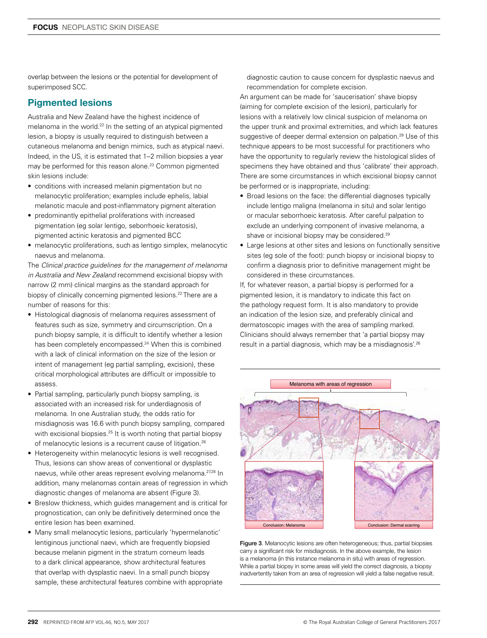overlap between the lesions or the potential for development of superimposed SCC.

# Pigmented lesions

Australia and New Zealand have the highest incidence of melanoma in the world.22 In the setting of an atypical pigmented lesion, a biopsy is usually required to distinguish between a cutaneous melanoma and benign mimics, such as atypical naevi. Indeed, in the US, it is estimated that 1–2 million biopsies a year may be performed for this reason alone.<sup>23</sup> Common pigmented skin lesions include:

- conditions with increased melanin pigmentation but no melanocytic proliferation; examples include ephelis, labial melanotic macule and post-inflammatory pigment alteration
- predominantly epithelial proliferations with increased pigmentation (eg solar lentigo, seborrhoeic keratosis), pigmented actinic keratosis and pigmented BCC
- melanocytic proliferations, such as lentigo simplex, melanocytic naevus and melanoma.

The *Clinical practice guidelines for the management of melanoma in Australia and New Zealand* recommend excisional biopsy with narrow (2 mm) clinical margins as the standard approach for biopsy of clinically concerning pigmented lesions.<sup>22</sup> There are a number of reasons for this:

- Histological diagnosis of melanoma requires assessment of features such as size, symmetry and circumscription. On a punch biopsy sample, it is difficult to identify whether a lesion has been completely encompassed.24 When this is combined with a lack of clinical information on the size of the lesion or intent of management (eg partial sampling, excision), these critical morphological attributes are difficult or impossible to assess.
- Partial sampling, particularly punch biopsy sampling, is associated with an increased risk for underdiagnosis of melanoma. In one Australian study, the odds ratio for misdiagnosis was 16.6 with punch biopsy sampling, compared with excisional biopsies.<sup>25</sup> It is worth noting that partial biopsy of melanocytic lesions is a recurrent cause of litigation.26
- Heterogeneity within melanocytic lesions is well recognised. Thus, lesions can show areas of conventional or dysplastic naevus, while other areas represent evolving melanoma.<sup>27,28</sup> In addition, many melanomas contain areas of regression in which diagnostic changes of melanoma are absent (Figure 3).
- Breslow thickness, which guides management and is critical for prognostication, can only be definitively determined once the entire lesion has been examined.
- Many small melanocytic lesions, particularly 'hypermelanotic' lentiginous junctional naevi, which are frequently biopsied because melanin pigment in the stratum corneum leads to a dark clinical appearance, show architectural features that overlap with dysplastic naevi. In a small punch biopsy sample, these architectural features combine with appropriate

diagnostic caution to cause concern for dysplastic naevus and recommendation for complete excision.

An argument can be made for 'saucerisation' shave biopsy (aiming for complete excision of the lesion), particularly for lesions with a relatively low clinical suspicion of melanoma on the upper trunk and proximal extremities, and which lack features suggestive of deeper dermal extension on palpation.<sup>29</sup> Use of this technique appears to be most successful for practitioners who have the opportunity to regularly review the histological slides of specimens they have obtained and thus 'calibrate' their approach. There are some circumstances in which excisional biopsy cannot be performed or is inappropriate, including:

- Broad lesions on the face: the differential diagnoses typically include lentigo maligna (melanoma in situ) and solar lentigo or macular seborrhoeic keratosis. After careful palpation to exclude an underlying component of invasive melanoma, a shave or incisional biopsy may be considered.<sup>29</sup>
- Large lesions at other sites and lesions on functionally sensitive sites (eg sole of the foot): punch biopsy or incisional biopsy to confirm a diagnosis prior to definitive management might be considered in these circumstances.

If, for whatever reason, a partial biopsy is performed for a pigmented lesion, it is mandatory to indicate this fact on the pathology request form. It is also mandatory to provide an indication of the lesion size, and preferably clinical and dermatoscopic images with the area of sampling marked. Clinicians should always remember that 'a partial biopsy may result in a partial diagnosis, which may be a misdiagnosis'.26



Figure 3. Melanocytic lesions are often heterogeneous; thus, partial biopsies carry a significant risk for misdiagnosis. In the above example, the lesion is a melanoma (in this instance melanoma in situ) with areas of regression. While a partial biopsy in some areas will yield the correct diagnosis, a biopsy inadvertently taken from an area of regression will yield a false negative result.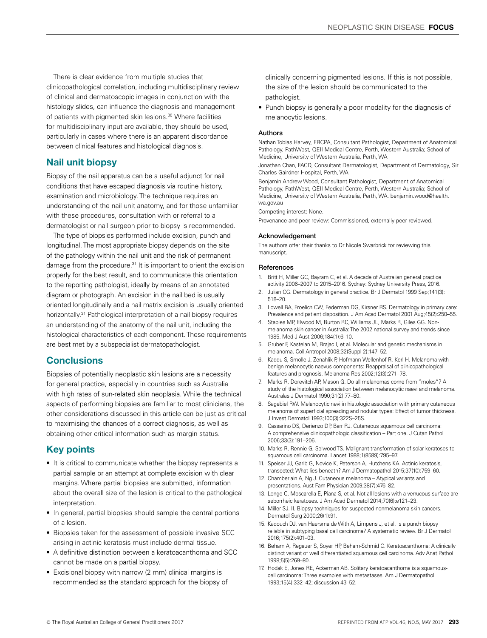There is clear evidence from multiple studies that clinicopathological correlation, including multidisciplinary review of clinical and dermatoscopic images in conjunction with the histology slides, can influence the diagnosis and management of patients with pigmented skin lesions.30 Where facilities for multidisciplinary input are available, they should be used, particularly in cases where there is an apparent discordance between clinical features and histological diagnosis.

# Nail unit biopsy

Biopsy of the nail apparatus can be a useful adjunct for nail conditions that have escaped diagnosis via routine history, examination and microbiology. The technique requires an understanding of the nail unit anatomy, and for those unfamiliar with these procedures, consultation with or referral to a dermatologist or nail surgeon prior to biopsy is recommended.

The type of biopsies performed include excision, punch and longitudinal. The most appropriate biopsy depends on the site of the pathology within the nail unit and the risk of permanent damage from the procedure.31 It is important to orient the excision properly for the best result, and to communicate this orientation to the reporting pathologist, ideally by means of an annotated diagram or photograph. An excision in the nail bed is usually oriented longitudinally and a nail matrix excision is usually oriented horizontally.31 Pathological interpretation of a nail biopsy requires an understanding of the anatomy of the nail unit, including the histological characteristics of each component. These requirements are best met by a subspecialist dermatopathologist.

# **Conclusions**

Biopsies of potentially neoplastic skin lesions are a necessity for general practice, especially in countries such as Australia with high rates of sun-related skin neoplasia. While the technical aspects of performing biopsies are familiar to most clinicians, the other considerations discussed in this article can be just as critical to maximising the chances of a correct diagnosis, as well as obtaining other critical information such as margin status.

# Key points

- It is critical to communicate whether the biopsy represents a partial sample or an attempt at complete excision with clear margins. Where partial biopsies are submitted, information about the overall size of the lesion is critical to the pathological interpretation.
- In general, partial biopsies should sample the central portions of a lesion.
- Biopsies taken for the assessment of possible invasive SCC arising in actinic keratosis must include dermal tissue.
- A definitive distinction between a keratoacanthoma and SCC cannot be made on a partial biopsy.
- Excisional biopsy with narrow (2 mm) clinical margins is recommended as the standard approach for the biopsy of

clinically concerning pigmented lesions. If this is not possible, the size of the lesion should be communicated to the pathologist.

• Punch biopsy is generally a poor modality for the diagnosis of melanocytic lesions.

#### Authors

Nathan Tobias Harvey, FRCPA, Consultant Pathologist, Department of Anatomical Pathology, PathWest, QEII Medical Centre, Perth, Western Australia; School of Medicine, University of Western Australia, Perth, WA

Jonathan Chan, FACD, Consultant Dermatologist, Department of Dermatology, Sir Charles Gairdner Hospital, Perth, WA

Benjamin Andrew Wood, Consultant Pathologist, Department of Anatomical Pathology, PathWest, QEII Medical Centre, Perth, Western Australia; School of Medicine, University of Western Australia, Perth, WA. benjamin.wood@health. wa.gov.au

Competing interest: None.

Provenance and peer review: Commissioned, externally peer reviewed.

#### Acknowledgement

The authors offer their thanks to Dr Nicole Swarbrick for reviewing this manuscript.

#### **References**

- 1. Britt H, Miller GC, Bayram C, et al. A decade of Australian general practice activity 2006–2007 to 2015–2016. Sydney: Sydney University Press, 2016.
- 2. Julian CG. Dermatology in general practice. Br J Dermatol 1999 Sep;141(3): 518–20.
- 3. Lowell BA, Froelich CW, Federman DG, Kirsner RS. Dermatology in primary care: Prevalence and patient disposition. J Am Acad Dermatol 2001 Aug;45(2):250–55.
- 4. Staples MP, Elwood M, Burton RC, Williams JL, Marks R, Giles GG. Nonmelanoma skin cancer in Australia: The 2002 national survey and trends since 1985. Med J Aust 2006;184(1):6–10.
- 5. Gruber F, Kastelan M, Brajac I, et al. Molecular and genetic mechanisms in melanoma. Coll Antropol 2008;32(Suppl 2):147–52.
- 6. Kaddu S, Smolle J, Zenahlik P, Hofmann-Wellenhof R, Kerl H. Melanoma with benign melanocytic naevus components: Reappraisal of clinicopathological features and prognosis. Melanoma Res 2002;12(3):271–78.
- 7. Marks R, Dorevitch AP, Mason G. Do all melanomas come from "moles"? A study of the histological association between melanocytic naevi and melanoma. Australas J Dermatol 1990;31(2):77–80.
- 8. Sagebiel RW. Melanocytic nevi in histologic association with primary cutaneous melanoma of superficial spreading and nodular types: Effect of tumor thickness. J Invest Dermatol 1993;100(3):322S–25S.
- 9. Cassarino DS, Derienzo DP, Barr RJ. Cutaneous squamous cell carcinoma: A comprehensive clinicopathologic classification – Part one. J Cutan Pathol 2006;33(3):191–206.
- 10. Marks R, Rennie G, Selwood TS. Malignant transformation of solar keratoses to squamous cell carcinoma. Lancet 1988;1(8589):795–97.
- 11. Speiser JJ, Garib G, Novice K, Peterson A, Hutchens KA. Actinic keratosis, transected: What lies beneath? Am J Dermatopathol 2015;37(10):759–60.
- 12. Chamberlain A, Ng J. Cutaneous melanoma Atypical variants and presentations. Aust Fam Physician 2009;38(7):476–82.
- 13. Longo C, Moscarella E, Piana S, et al. Not all lesions with a verrucous surface are seborrheic keratoses. J Am Acad Dermatol 2014;70(6):e121–23.
- 14. Miller SJ. II. Biopsy techniques for suspected nonmelanoma skin cancers. Dermatol Surg 2000;26(1):91.
- 15. Kadouch DJ, van Haersma de With A, Limpens J, et al. Is a punch biopsy reliable in subtyping basal cell carcinoma? A systematic review. Br J Dermatol 2016;175(2):401–03.
- 16. Beham A, Regauer S, Soyer HP, Beham-Schmid C. Keratoacanthoma: A clinically distinct variant of well differentiated squamous cell carcinoma. Adv Anat Pathol 1998;5(5):269–80.
- 17. Hodak E, Jones RE, Ackerman AB. Solitary keratoacanthoma is a squamouscell carcinoma: Three examples with metastases. Am J Dermatopathol 1993;15(4):332–42; discussion 43–52.